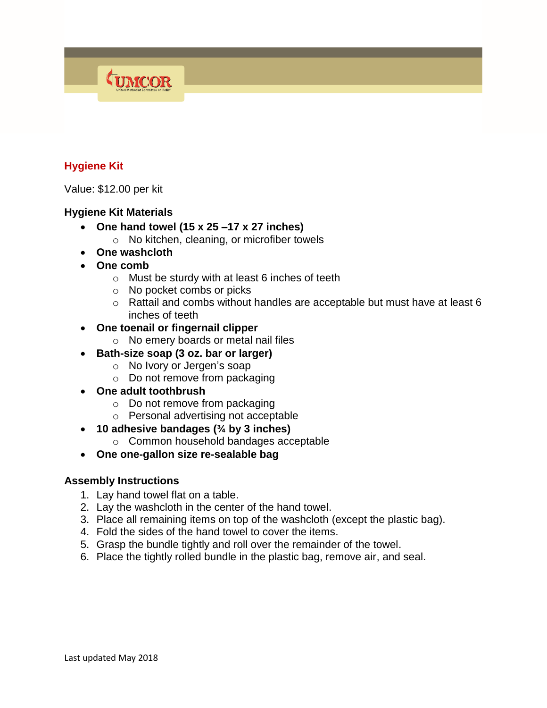# **Hygiene Kit**

Value: \$12.00 per kit

## **Hygiene Kit Materials**

- **One hand towel (15 x 25 –17 x 27 inches)**
	- o No kitchen, cleaning, or microfiber towels
- **One washcloth**

TUMCOR

- **One comb**
	- o Must be sturdy with at least 6 inches of teeth
	- o No pocket combs or picks
	- o Rattail and combs without handles are acceptable but must have at least 6 inches of teeth
- **One toenail or fingernail clipper**
	- o No emery boards or metal nail files
- **Bath-size soap (3 oz. bar or larger)**
	- o No Ivory or Jergen's soap
	- o Do not remove from packaging
- **One adult toothbrush**
	- o Do not remove from packaging
	- o Personal advertising not acceptable
- **10 adhesive bandages (¾ by 3 inches)**
	- o Common household bandages acceptable
- **One one-gallon size re-sealable bag**

#### **Assembly Instructions**

- 1. Lay hand towel flat on a table.
- 2. Lay the washcloth in the center of the hand towel.
- 3. Place all remaining items on top of the washcloth (except the plastic bag).
- 4. Fold the sides of the hand towel to cover the items.
- 5. Grasp the bundle tightly and roll over the remainder of the towel.
- 6. Place the tightly rolled bundle in the plastic bag, remove air, and seal.